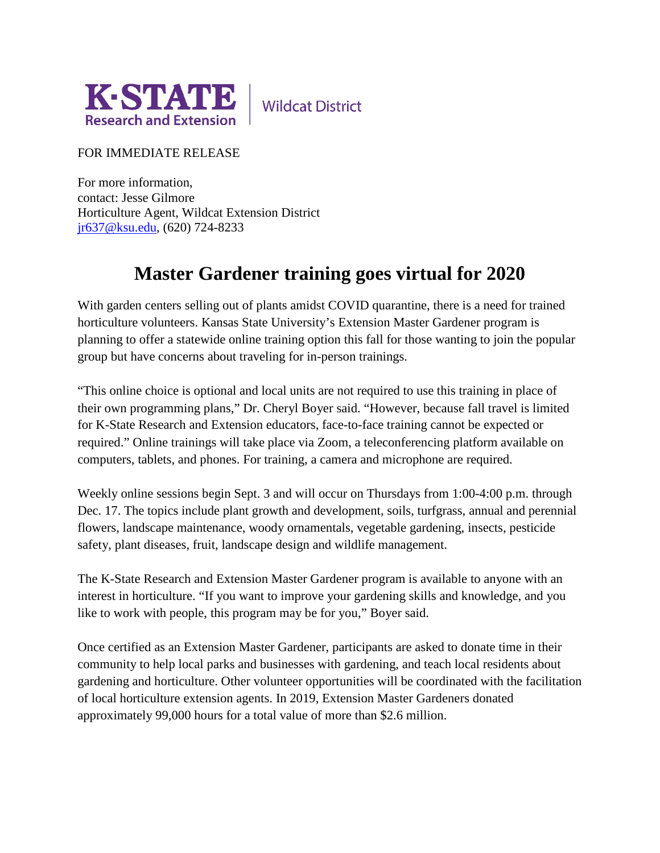

**Wildcat District** 

FOR IMMEDIATE RELEASE

For more information, contact: Jesse Gilmore Horticulture Agent, Wildcat Extension District [jr637@ksu.edu,](mailto:jr637@ksu.edu) (620) 724-8233

## **Master Gardener training goes virtual for 2020**

With garden centers selling out of plants amidst COVID quarantine, there is a need for trained horticulture volunteers. Kansas State University's Extension Master Gardener program is planning to offer a statewide online training option this fall for those wanting to join the popular group but have concerns about traveling for in-person trainings.

"This online choice is optional and local units are not required to use this training in place of their own programming plans," Dr. Cheryl Boyer said. "However, because fall travel is limited for K-State Research and Extension educators, face-to-face training cannot be expected or required." Online trainings will take place via Zoom, a teleconferencing platform available on computers, tablets, and phones. For training, a camera and microphone are required.

Weekly online sessions begin Sept. 3 and will occur on Thursdays from 1:00-4:00 p.m. through Dec. 17. The topics include plant growth and development, soils, turfgrass, annual and perennial flowers, landscape maintenance, woody ornamentals, vegetable gardening, insects, pesticide safety, plant diseases, fruit, landscape design and wildlife management.

The K-State Research and Extension Master Gardener program is available to anyone with an interest in horticulture. "If you want to improve your gardening skills and knowledge, and you like to work with people, this program may be for you," Boyer said.

Once certified as an Extension Master Gardener, participants are asked to donate time in their community to help local parks and businesses with gardening, and teach local residents about gardening and horticulture. Other volunteer opportunities will be coordinated with the facilitation of local horticulture extension agents. In 2019, Extension Master Gardeners donated approximately 99,000 hours for a total value of more than \$2.6 million.